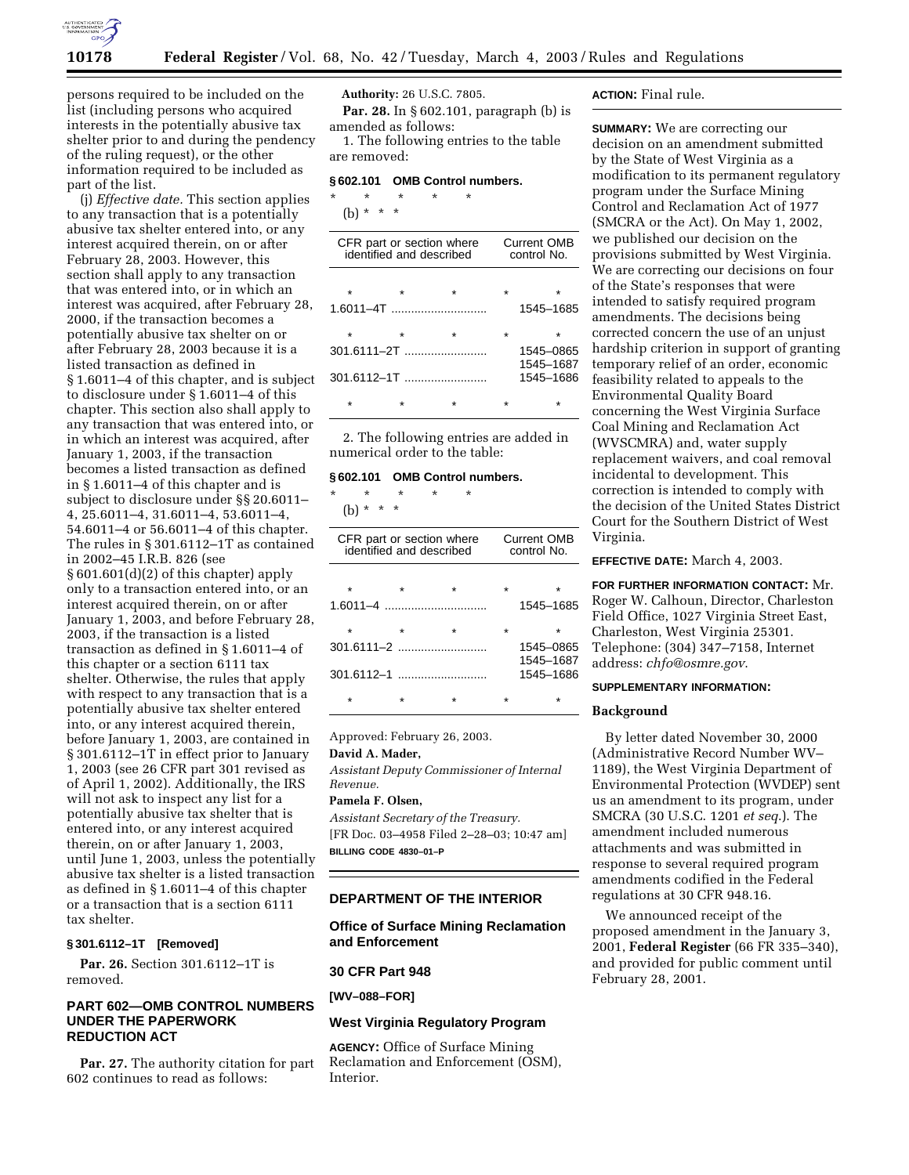

persons required to be included on the list (including persons who acquired interests in the potentially abusive tax shelter prior to and during the pendency of the ruling request), or the other information required to be included as part of the list.

(j) *Effective date.* This section applies to any transaction that is a potentially abusive tax shelter entered into, or any interest acquired therein, on or after February 28, 2003. However, this section shall apply to any transaction that was entered into, or in which an interest was acquired, after February 28, 2000, if the transaction becomes a potentially abusive tax shelter on or after February 28, 2003 because it is a listed transaction as defined in § 1.6011–4 of this chapter, and is subject to disclosure under § 1.6011–4 of this chapter. This section also shall apply to any transaction that was entered into, or in which an interest was acquired, after January 1, 2003, if the transaction becomes a listed transaction as defined in § 1.6011–4 of this chapter and is subject to disclosure under §§ 20.6011– 4, 25.6011–4, 31.6011–4, 53.6011–4, 54.6011–4 or 56.6011–4 of this chapter. The rules in § 301.6112–1T as contained in 2002–45 I.R.B. 826 (see § 601.601(d)(2) of this chapter) apply only to a transaction entered into, or an interest acquired therein, on or after January 1, 2003, and before February 28, 2003, if the transaction is a listed transaction as defined in § 1.6011–4 of this chapter or a section 6111 tax shelter. Otherwise, the rules that apply with respect to any transaction that is a potentially abusive tax shelter entered into, or any interest acquired therein, before January 1, 2003, are contained in § 301.6112–1T in effect prior to January 1, 2003 (see 26 CFR part 301 revised as of April 1, 2002). Additionally, the IRS will not ask to inspect any list for a potentially abusive tax shelter that is entered into, or any interest acquired therein, on or after January 1, 2003, until June 1, 2003, unless the potentially abusive tax shelter is a listed transaction as defined in § 1.6011–4 of this chapter or a transaction that is a section 6111 tax shelter.

# **§ 301.6112–1T [Removed]**

**Par. 26.** Section 301.6112–1T is removed.

# **PART 602—OMB CONTROL NUMBERS UNDER THE PAPERWORK REDUCTION ACT**

**Par. 27.** The authority citation for part 602 continues to read as follows:

**Authority:** 26 U.S.C. 7805. **Par. 28.** In § 602.101, paragraph (b) is amended as follows:

1. The following entries to the table are removed:

### **§ 602.101 OMB Control numbers.**

\* \* \* \* \* (b) \* \* \*

| CFR part or section where<br>identified and described |  |                |   | <b>Current OMB</b><br>control No. |  |  |
|-------------------------------------------------------|--|----------------|---|-----------------------------------|--|--|
|                                                       |  |                |   |                                   |  |  |
|                                                       |  |                |   | 1545-1685                         |  |  |
|                                                       |  | $\star$        | ÷ |                                   |  |  |
| 301.6111–2T ……………………                                  |  |                |   | 1545-0865<br>1545-1687            |  |  |
|                                                       |  | $301.6112 - 1$ |   | 1545-1686                         |  |  |
|                                                       |  |                |   |                                   |  |  |

2. The following entries are added in numerical order to the table:

### **§ 602.101 OMB Control numbers.**

\* \* \* \* \* (b) \* \* \*

| CFR part or section where<br>identified and described | <b>Current OMB</b><br>control No. |         |                        |
|-------------------------------------------------------|-----------------------------------|---------|------------------------|
| $\star$                                               |                                   | $\star$ | ÷<br>1545-1685         |
|                                                       |                                   |         | 1545-0865              |
|                                                       |                                   |         | 1545-1687<br>1545-1686 |
|                                                       |                                   |         |                        |

Approved: February 26, 2003.

**David A. Mader,** 

*Assistant Deputy Commissioner of Internal Revenue.* 

# **Pamela F. Olsen,**

*Assistant Secretary of the Treasury.* [FR Doc. 03–4958 Filed 2–28–03; 10:47 am] **BILLING CODE 4830–01–P**

### **DEPARTMENT OF THE INTERIOR**

**Office of Surface Mining Reclamation and Enforcement** 

**30 CFR Part 948** 

**[WV–088–FOR]** 

#### **West Virginia Regulatory Program**

**AGENCY:** Office of Surface Mining Reclamation and Enforcement (OSM), Interior.

### **ACTION:** Final rule.

**SUMMARY:** We are correcting our decision on an amendment submitted by the State of West Virginia as a modification to its permanent regulatory program under the Surface Mining Control and Reclamation Act of 1977 (SMCRA or the Act). On May 1, 2002, we published our decision on the provisions submitted by West Virginia. We are correcting our decisions on four of the State's responses that were intended to satisfy required program amendments. The decisions being corrected concern the use of an unjust hardship criterion in support of granting temporary relief of an order, economic feasibility related to appeals to the Environmental Quality Board concerning the West Virginia Surface Coal Mining and Reclamation Act (WVSCMRA) and, water supply replacement waivers, and coal removal incidental to development. This correction is intended to comply with the decision of the United States District Court for the Southern District of West Virginia.

**EFFECTIVE DATE:** March 4, 2003.

**FOR FURTHER INFORMATION CONTACT:** Mr. Roger W. Calhoun, Director, Charleston Field Office, 1027 Virginia Street East, Charleston, West Virginia 25301. Telephone: (304) 347–7158, Internet address: *chfo@osmre.gov*.

# **SUPPLEMENTARY INFORMATION:**

#### **Background**

By letter dated November 30, 2000 (Administrative Record Number WV– 1189), the West Virginia Department of Environmental Protection (WVDEP) sent us an amendment to its program, under SMCRA (30 U.S.C. 1201 *et seq*.). The amendment included numerous attachments and was submitted in response to several required program amendments codified in the Federal regulations at 30 CFR 948.16.

We announced receipt of the proposed amendment in the January 3, 2001, **Federal Register** (66 FR 335–340), and provided for public comment until February 28, 2001.